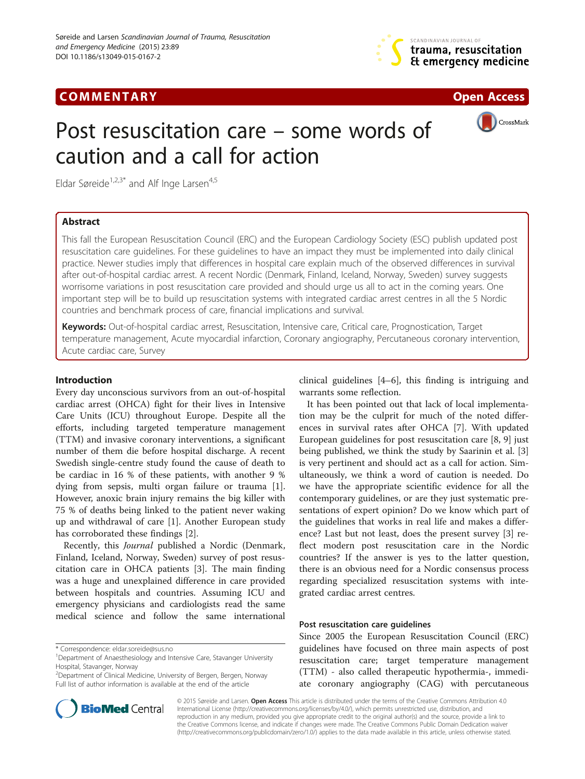# **COMMENTARY COMMENTARY Open Access**





CrossMark

# Post resuscitation care – some words of caution and a call for action

Eldar Søreide<sup>1,2,3\*</sup> and Alf Inge Larsen<sup>4,5</sup>

## Abstract

This fall the European Resuscitation Council (ERC) and the European Cardiology Society (ESC) publish updated post resuscitation care guidelines. For these guidelines to have an impact they must be implemented into daily clinical practice. Newer studies imply that differences in hospital care explain much of the observed differences in survival after out-of-hospital cardiac arrest. A recent Nordic (Denmark, Finland, Iceland, Norway, Sweden) survey suggests worrisome variations in post resuscitation care provided and should urge us all to act in the coming years. One important step will be to build up resuscitation systems with integrated cardiac arrest centres in all the 5 Nordic countries and benchmark process of care, financial implications and survival.

Keywords: Out-of-hospital cardiac arrest, Resuscitation, Intensive care, Critical care, Prognostication, Target temperature management, Acute myocardial infarction, Coronary angiography, Percutaneous coronary intervention, Acute cardiac care, Survey

### Introduction

Every day unconscious survivors from an out-of-hospital cardiac arrest (OHCA) fight for their lives in Intensive Care Units (ICU) throughout Europe. Despite all the efforts, including targeted temperature management (TTM) and invasive coronary interventions, a significant number of them die before hospital discharge. A recent Swedish single-centre study found the cause of death to be cardiac in 16 % of these patients, with another 9 % dying from sepsis, multi organ failure or trauma [\[1](#page-3-0)]. However, anoxic brain injury remains the big killer with 75 % of deaths being linked to the patient never waking up and withdrawal of care [\[1\]](#page-3-0). Another European study has corroborated these findings [[2\]](#page-3-0).

Recently, this Journal published a Nordic (Denmark, Finland, Iceland, Norway, Sweden) survey of post resuscitation care in OHCA patients [[3](#page-3-0)]. The main finding was a huge and unexplained difference in care provided between hospitals and countries. Assuming ICU and emergency physicians and cardiologists read the same medical science and follow the same international



It has been pointed out that lack of local implementation may be the culprit for much of the noted differences in survival rates after OHCA [\[7\]](#page-3-0). With updated European guidelines for post resuscitation care [[8, 9\]](#page-3-0) just being published, we think the study by Saarinin et al. [\[3](#page-3-0)] is very pertinent and should act as a call for action. Simultaneously, we think a word of caution is needed. Do we have the appropriate scientific evidence for all the contemporary guidelines, or are they just systematic presentations of expert opinion? Do we know which part of the guidelines that works in real life and makes a difference? Last but not least, does the present survey [\[3](#page-3-0)] reflect modern post resuscitation care in the Nordic countries? If the answer is yes to the latter question, there is an obvious need for a Nordic consensus process regarding specialized resuscitation systems with integrated cardiac arrest centres.

#### Post resuscitation care guidelines

Since 2005 the European Resuscitation Council (ERC) guidelines have focused on three main aspects of post resuscitation care; target temperature management (TTM) - also called therapeutic hypothermia-, immediate coronary angiography (CAG) with percutaneous



© 2015 Søreide and Larsen. Open Access This article is distributed under the terms of the Creative Commons Attribution 4.0 International License [\(http://creativecommons.org/licenses/by/4.0/](http://creativecommons.org/licenses/by/4.0/)), which permits unrestricted use, distribution, and reproduction in any medium, provided you give appropriate credit to the original author(s) and the source, provide a link to the Creative Commons license, and indicate if changes were made. The Creative Commons Public Domain Dedication waiver [\(http://creativecommons.org/publicdomain/zero/1.0/](http://creativecommons.org/publicdomain/zero/1.0/)) applies to the data made available in this article, unless otherwise stated.

<sup>\*</sup> Correspondence: [eldar.soreide@sus.no](mailto:eldar.soreide@sus.no) <sup>1</sup>

Department of Anaesthesiology and Intensive Care, Stavanger University Hospital, Stavanger, Norway

<sup>2</sup> Department of Clinical Medicine, University of Bergen, Bergen, Norway Full list of author information is available at the end of the article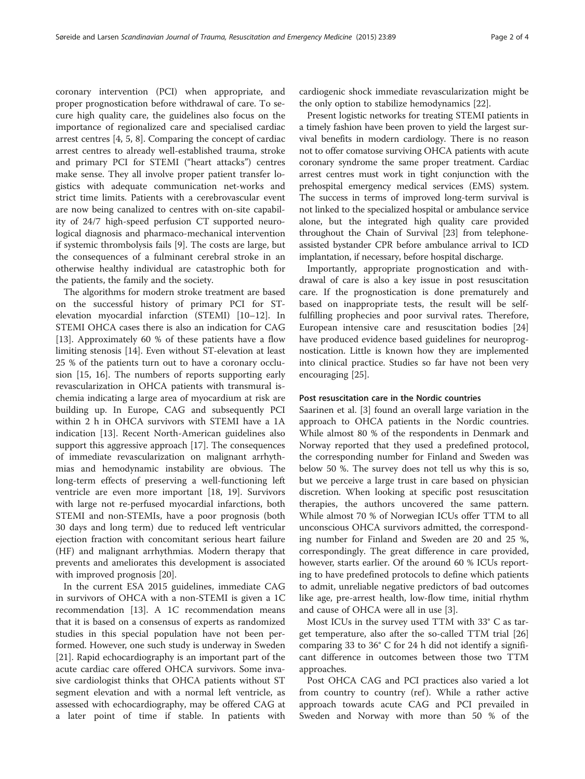coronary intervention (PCI) when appropriate, and proper prognostication before withdrawal of care. To secure high quality care, the guidelines also focus on the importance of regionalized care and specialised cardiac arrest centres [[4, 5, 8\]](#page-3-0). Comparing the concept of cardiac arrest centres to already well-established trauma, stroke and primary PCI for STEMI ("heart attacks") centres make sense. They all involve proper patient transfer logistics with adequate communication net-works and strict time limits. Patients with a cerebrovascular event are now being canalized to centres with on-site capability of 24/7 high-speed perfusion CT supported neurological diagnosis and pharmaco-mechanical intervention if systemic thrombolysis fails [[9\]](#page-3-0). The costs are large, but the consequences of a fulminant cerebral stroke in an otherwise healthy individual are catastrophic both for the patients, the family and the society.

The algorithms for modern stroke treatment are based on the successful history of primary PCI for STelevation myocardial infarction (STEMI) [\[10](#page-3-0)–[12\]](#page-3-0). In STEMI OHCA cases there is also an indication for CAG [[13\]](#page-3-0). Approximately 60 % of these patients have a flow limiting stenosis [\[14](#page-3-0)]. Even without ST-elevation at least 25 % of the patients turn out to have a coronary occlusion [[15, 16\]](#page-3-0). The numbers of reports supporting early revascularization in OHCA patients with transmural ischemia indicating a large area of myocardium at risk are building up. In Europe, CAG and subsequently PCI within 2 h in OHCA survivors with STEMI have a 1A indication [[13\]](#page-3-0). Recent North-American guidelines also support this aggressive approach [[17\]](#page-3-0). The consequences of immediate revascularization on malignant arrhythmias and hemodynamic instability are obvious. The long-term effects of preserving a well-functioning left ventricle are even more important [[18](#page-3-0), [19\]](#page-3-0). Survivors with large not re-perfused myocardial infarctions, both STEMI and non-STEMIs, have a poor prognosis (both 30 days and long term) due to reduced left ventricular ejection fraction with concomitant serious heart failure (HF) and malignant arrhythmias. Modern therapy that prevents and ameliorates this development is associated with improved prognosis [[20\]](#page-3-0).

In the current ESA 2015 guidelines, immediate CAG in survivors of OHCA with a non-STEMI is given a 1C recommendation [[13\]](#page-3-0). A 1C recommendation means that it is based on a consensus of experts as randomized studies in this special population have not been performed. However, one such study is underway in Sweden [[21\]](#page-3-0). Rapid echocardiography is an important part of the acute cardiac care offered OHCA survivors. Some invasive cardiologist thinks that OHCA patients without ST segment elevation and with a normal left ventricle, as assessed with echocardiography, may be offered CAG at a later point of time if stable. In patients with

cardiogenic shock immediate revascularization might be the only option to stabilize hemodynamics [[22\]](#page-3-0).

Present logistic networks for treating STEMI patients in a timely fashion have been proven to yield the largest survival benefits in modern cardiology. There is no reason not to offer comatose surviving OHCA patients with acute coronary syndrome the same proper treatment. Cardiac arrest centres must work in tight conjunction with the prehospital emergency medical services (EMS) system. The success in terms of improved long-term survival is not linked to the specialized hospital or ambulance service alone, but the integrated high quality care provided throughout the Chain of Survival [[23\]](#page-3-0) from telephoneassisted bystander CPR before ambulance arrival to ICD implantation, if necessary, before hospital discharge.

Importantly, appropriate prognostication and withdrawal of care is also a key issue in post resuscitation care. If the prognostication is done prematurely and based on inappropriate tests, the result will be selffulfilling prophecies and poor survival rates. Therefore, European intensive care and resuscitation bodies [[24](#page-3-0)] have produced evidence based guidelines for neuroprognostication. Little is known how they are implemented into clinical practice. Studies so far have not been very encouraging [[25\]](#page-3-0).

#### Post resuscitation care in the Nordic countries

Saarinen et al. [[3\]](#page-3-0) found an overall large variation in the approach to OHCA patients in the Nordic countries. While almost 80 % of the respondents in Denmark and Norway reported that they used a predefined protocol, the corresponding number for Finland and Sweden was below 50 %. The survey does not tell us why this is so, but we perceive a large trust in care based on physician discretion. When looking at specific post resuscitation therapies, the authors uncovered the same pattern. While almost 70 % of Norwegian ICUs offer TTM to all unconscious OHCA survivors admitted, the corresponding number for Finland and Sweden are 20 and 25 %, correspondingly. The great difference in care provided, however, starts earlier. Of the around 60 % ICUs reporting to have predefined protocols to define which patients to admit, unreliable negative predictors of bad outcomes like age, pre-arrest health, low-flow time, initial rhythm and cause of OHCA were all in use [\[3\]](#page-3-0).

Most ICUs in the survey used TTM with 33° C as target temperature, also after the so-called TTM trial [[26](#page-3-0)] comparing 33 to 36° C for 24 h did not identify a significant difference in outcomes between those two TTM approaches.

Post OHCA CAG and PCI practices also varied a lot from country to country (ref). While a rather active approach towards acute CAG and PCI prevailed in Sweden and Norway with more than 50 % of the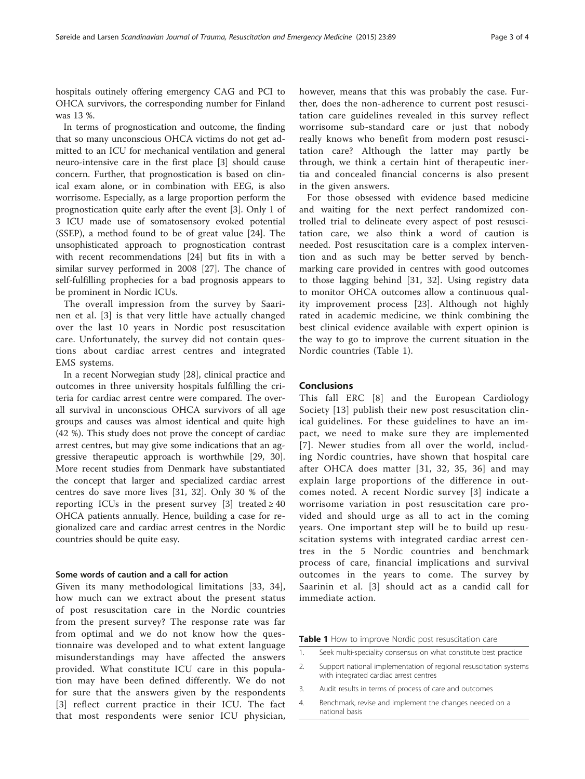hospitals outinely offering emergency CAG and PCI to OHCA survivors, the corresponding number for Finland was 13 %.

In terms of prognostication and outcome, the finding that so many unconscious OHCA victims do not get admitted to an ICU for mechanical ventilation and general neuro-intensive care in the first place [\[3](#page-3-0)] should cause concern. Further, that prognostication is based on clinical exam alone, or in combination with EEG, is also worrisome. Especially, as a large proportion perform the prognostication quite early after the event [\[3](#page-3-0)]. Only 1 of 3 ICU made use of somatosensory evoked potential (SSEP), a method found to be of great value [[24\]](#page-3-0). The unsophisticated approach to prognostication contrast with recent recommendations [\[24](#page-3-0)] but fits in with a similar survey performed in 2008 [\[27](#page-3-0)]. The chance of self-fulfilling prophecies for a bad prognosis appears to be prominent in Nordic ICUs.

The overall impression from the survey by Saarinen et al. [[3\]](#page-3-0) is that very little have actually changed over the last 10 years in Nordic post resuscitation care. Unfortunately, the survey did not contain questions about cardiac arrest centres and integrated EMS systems.

In a recent Norwegian study [\[28](#page-3-0)], clinical practice and outcomes in three university hospitals fulfilling the criteria for cardiac arrest centre were compared. The overall survival in unconscious OHCA survivors of all age groups and causes was almost identical and quite high (42 %). This study does not prove the concept of cardiac arrest centres, but may give some indications that an aggressive therapeutic approach is worthwhile [\[29](#page-3-0), [30](#page-3-0)]. More recent studies from Denmark have substantiated the concept that larger and specialized cardiac arrest centres do save more lives [\[31](#page-3-0), [32\]](#page-3-0). Only 30 % of the reporting ICUs in the present survey [\[3](#page-3-0)] treated  $\geq 40$ OHCA patients annually. Hence, building a case for regionalized care and cardiac arrest centres in the Nordic countries should be quite easy.

#### Some words of caution and a call for action

Given its many methodological limitations [[33](#page-3-0), [34](#page-3-0)], how much can we extract about the present status of post resuscitation care in the Nordic countries from the present survey? The response rate was far from optimal and we do not know how the questionnaire was developed and to what extent language misunderstandings may have affected the answers provided. What constitute ICU care in this population may have been defined differently. We do not for sure that the answers given by the respondents [[3](#page-3-0)] reflect current practice in their ICU. The fact that most respondents were senior ICU physician, however, means that this was probably the case. Further, does the non-adherence to current post resuscitation care guidelines revealed in this survey reflect worrisome sub-standard care or just that nobody really knows who benefit from modern post resuscitation care? Although the latter may partly be through, we think a certain hint of therapeutic inertia and concealed financial concerns is also present in the given answers.

For those obsessed with evidence based medicine and waiting for the next perfect randomized controlled trial to delineate every aspect of post resuscitation care, we also think a word of caution is needed. Post resuscitation care is a complex intervention and as such may be better served by benchmarking care provided in centres with good outcomes to those lagging behind [[31, 32](#page-3-0)]. Using registry data to monitor OHCA outcomes allow a continuous quality improvement process [[23\]](#page-3-0). Although not highly rated in academic medicine, we think combining the best clinical evidence available with expert opinion is the way to go to improve the current situation in the Nordic countries (Table 1).

#### Conclusions

This fall ERC [\[8\]](#page-3-0) and the European Cardiology Society [\[13\]](#page-3-0) publish their new post resuscitation clinical guidelines. For these guidelines to have an impact, we need to make sure they are implemented [[7](#page-3-0)]. Newer studies from all over the world, including Nordic countries, have shown that hospital care after OHCA does matter [[31](#page-3-0), [32](#page-3-0), [35](#page-3-0), [36](#page-3-0)] and may explain large proportions of the difference in outcomes noted. A recent Nordic survey [[3](#page-3-0)] indicate a worrisome variation in post resuscitation care provided and should urge as all to act in the coming years. One important step will be to build up resuscitation systems with integrated cardiac arrest centres in the 5 Nordic countries and benchmark process of care, financial implications and survival outcomes in the years to come. The survey by Saarinin et al. [[3\]](#page-3-0) should act as a candid call for immediate action.

Table 1 How to improve Nordic post resuscitation care

- 1. Seek multi-speciality consensus on what constitute best practice
- 2. Support national implementation of regional resuscitation systems with integrated cardiac arrest centres
- 3. Audit results in terms of process of care and outcomes
- 4. Benchmark, revise and implement the changes needed on a national basis